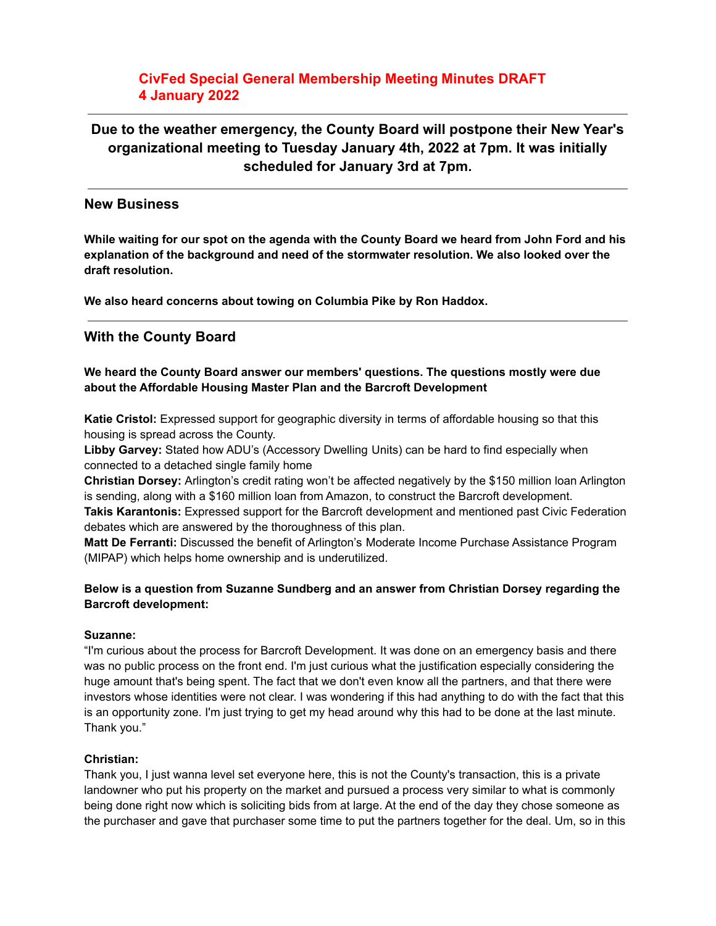## **CivFed Special General Membership Meeting Minutes DRAFT 4 January 2022**

# **Due to the weather emergency, the County Board will postpone their New Year's organizational meeting to Tuesday January 4th, 2022 at 7pm. It was initially scheduled for January 3rd at 7pm.**

### **New Business**

**While waiting for our spot on the agenda with the County Board we heard from John Ford and his explanation of the background and need of the stormwater resolution. We also looked over the draft resolution.**

**We also heard concerns about towing on Columbia Pike by Ron Haddox.**

## **With the County Board**

#### **We heard the County Board answer our members' questions. The questions mostly were due about the Affordable Housing Master Plan and the Barcroft Development**

**Katie Cristol:** Expressed support for geographic diversity in terms of affordable housing so that this housing is spread across the County.

**Libby Garvey:** Stated how ADU's (Accessory Dwelling Units) can be hard to find especially when connected to a detached single family home

**Christian Dorsey:** Arlington's credit rating won't be affected negatively by the \$150 million loan Arlington is sending, along with a \$160 million loan from Amazon, to construct the Barcroft development.

**Takis Karantonis:** Expressed support for the Barcroft development and mentioned past Civic Federation debates which are answered by the thoroughness of this plan.

**Matt De Ferranti:** Discussed the benefit of Arlington's Moderate Income Purchase Assistance Program (MIPAP) which helps home ownership and is underutilized.

#### **Below is a question from Suzanne Sundberg and an answer from Christian Dorsey regarding the Barcroft development:**

#### **Suzanne:**

"I'm curious about the process for Barcroft Development. It was done on an emergency basis and there was no public process on the front end. I'm just curious what the justification especially considering the huge amount that's being spent. The fact that we don't even know all the partners, and that there were investors whose identities were not clear. I was wondering if this had anything to do with the fact that this is an opportunity zone. I'm just trying to get my head around why this had to be done at the last minute. Thank you."

#### **Christian:**

Thank you, I just wanna level set everyone here, this is not the County's transaction, this is a private landowner who put his property on the market and pursued a process very similar to what is commonly being done right now which is soliciting bids from at large. At the end of the day they chose someone as the purchaser and gave that purchaser some time to put the partners together for the deal. Um, so in this